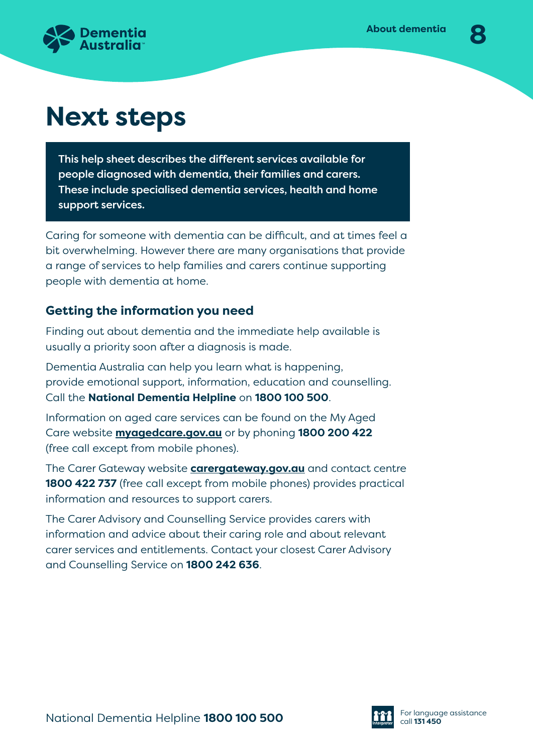

# **Next steps**

This help sheet describes the different services available for people diagnosed with dementia, their families and carers. These include specialised dementia services, health and home support services.

Caring for someone with dementia can be difficult, and at times feel a bit overwhelming. However there are many organisations that provide a range of services to help families and carers continue supporting people with dementia at home.

# **Getting the information you need**

Finding out about dementia and the immediate help available is usually a priority soon after a diagnosis is made.

Dementia Australia can help you learn what is happening, provide emotional support, information, education and counselling. Call the **National Dementia Helpline** on **1800 100 500**.

Information on aged care services can be found on the My Aged Care website **[myagedcare.gov.au](http://www.myagedcare.gov.au)** or by phoning **1800 200 422** (free call except from mobile phones).

The Carer Gateway website **[carergateway.gov.au](http://www.carergateway.gov.au)** and contact centre **1800 422 737** (free call except from mobile phones) provides practical information and resources to support carers.

The Carer Advisory and Counselling Service provides carers with information and advice about their caring role and about relevant carer services and entitlements. Contact your closest Carer Advisory and Counselling Service on **1800 242 636**.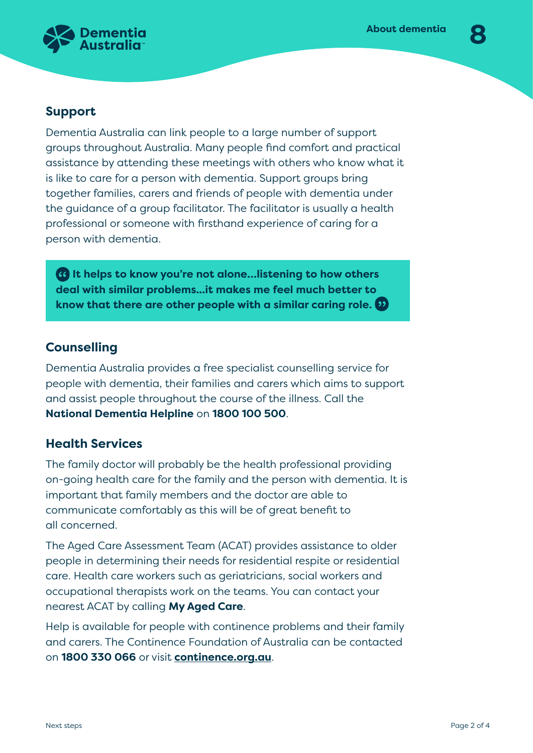

# **Support**

Dementia Australia can link people to a large number of support groups throughout Australia. Many people find comfort and practical assistance by attending these meetings with others who know what it is like to care for a person with dementia. Support groups bring together families, carers and friends of people with dementia under the guidance of a group facilitator. The facilitator is usually a health professional or someone with firsthand experience of caring for a person with dementia.

**It helps to know you're not alone…listening to how others deal with similar problems...it makes me feel much better to know that there are other people with a similar caring role.** 

# **Counselling**

Dementia Australia provides a free specialist counselling service for people with dementia, their families and carers which aims to support and assist people throughout the course of the illness. Call the **National Dementia Helpline** on **1800 100 500**.

# **Health Services**

The family doctor will probably be the health professional providing on-going health care for the family and the person with dementia. It is important that family members and the doctor are able to communicate comfortably as this will be of great benefit to all concerned.

The Aged Care Assessment Team (ACAT) provides assistance to older people in determining their needs for residential respite or residential care. Health care workers such as geriatricians, social workers and occupational therapists work on the teams. You can contact your nearest ACAT by calling **My Aged Care**.

Help is available for people with continence problems and their family and carers. The Continence Foundation of Australia can be contacted on **1800 330 066** or visit **[continence.org.au](http://www.continence.org.au)**.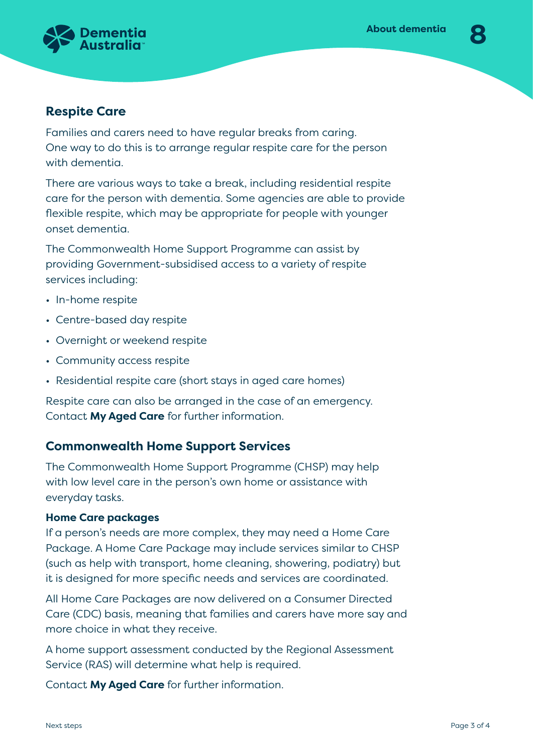

## **Respite Care**

Families and carers need to have regular breaks from caring. One way to do this is to arrange regular respite care for the person with dementia.

There are various ways to take a break, including residential respite care for the person with dementia. Some agencies are able to provide flexible respite, which may be appropriate for people with younger onset dementia.

The Commonwealth Home Support Programme can assist by providing Government-subsidised access to a variety of respite services including:

- In-home respite
- Centre-based day respite
- Overnight or weekend respite
- Community access respite
- Residential respite care (short stays in aged care homes)

Respite care can also be arranged in the case of an emergency. Contact **My Aged Care** for further information.

## **Commonwealth Home Support Services**

The Commonwealth Home Support Programme (CHSP) may help with low level care in the person's own home or assistance with everyday tasks.

### **Home Care packages**

If a person's needs are more complex, they may need a Home Care Package. A Home Care Package may include services similar to CHSP (such as help with transport, home cleaning, showering, podiatry) but it is designed for more specific needs and services are coordinated.

All Home Care Packages are now delivered on a Consumer Directed Care (CDC) basis, meaning that families and carers have more say and more choice in what they receive.

A home support assessment conducted by the Regional Assessment Service (RAS) will determine what help is required.

Contact **My Aged Care** for further information.